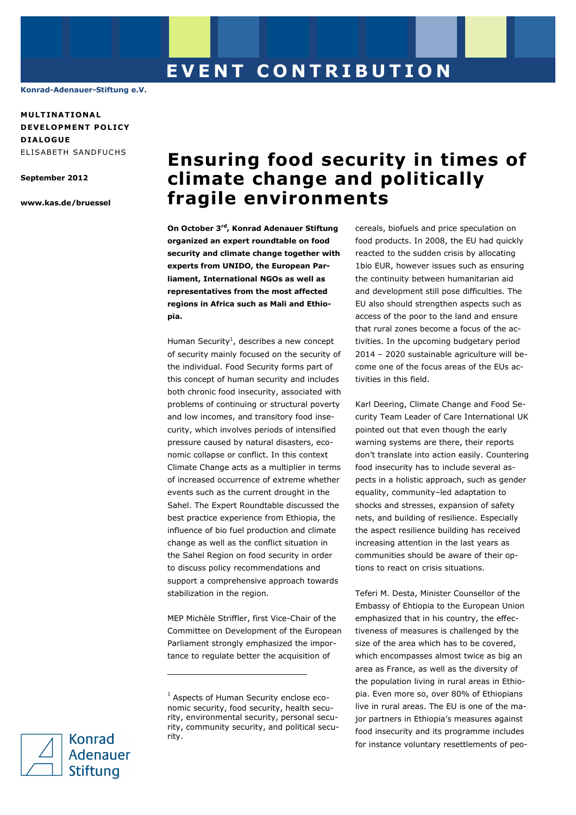**Konrad-Adenauer-Stiftung e.V.** 

**MULT INAT IONA L DEVELOPMENT POLICY D IALOGUE**  ELISABETH SANDFUCHS

**September 2012** 

**www.kas.de/bruessel**

# **Ensuring food security in times of climate change and politically fragile environments**

**On October 3rd, Konrad Adenauer Stiftung organized an expert roundtable on food security and climate change together with experts from UNIDO, the European Parliament, International NGOs as well as representatives from the most affected regions in Africa such as Mali and Ethiopia.** 

Human Security<sup>1</sup>, describes a new concept of security mainly focused on the security of the individual. Food Security forms part of this concept of human security and includes both chronic food insecurity, associated with problems of continuing or structural poverty and low incomes, and transitory food insecurity, which involves periods of intensified pressure caused by natural disasters, economic collapse or conflict. In this context Climate Change acts as a multiplier in terms of increased occurrence of extreme whether events such as the current drought in the Sahel. The Expert Roundtable discussed the best practice experience from Ethiopia, the influence of bio fuel production and climate change as well as the conflict situation in the Sahel Region on food security in order to discuss policy recommendations and support a comprehensive approach towards stabilization in the region.

MEP Michèle Striffler, first Vice-Chair of the Committee on Development of the European Parliament strongly emphasized the importance to regulate better the acquisition of

ī

cereals, biofuels and price speculation on food products. In 2008, the EU had quickly reacted to the sudden crisis by allocating 1bio EUR, however issues such as ensuring the continuity between humanitarian aid and development still pose difficulties. The EU also should strengthen aspects such as access of the poor to the land and ensure that rural zones become a focus of the activities. In the upcoming budgetary period 2014 – 2020 sustainable agriculture will become one of the focus areas of the EUs activities in this field.

Karl Deering, Climate Change and Food Security Team Leader of Care International UK pointed out that even though the early warning systems are there, their reports don't translate into action easily. Countering food insecurity has to include several aspects in a holistic approach, such as gender equality, community–led adaptation to shocks and stresses, expansion of safety nets, and building of resilience. Especially the aspect resilience building has received increasing attention in the last years as communities should be aware of their options to react on crisis situations.

Teferi M. Desta, Minister Counsellor of the Embassy of Ehtiopia to the European Union emphasized that in his country, the effectiveness of measures is challenged by the size of the area which has to be covered, which encompasses almost twice as big an area as France, as well as the diversity of the population living in rural areas in Ethiopia. Even more so, over 80% of Ethiopians live in rural areas. The EU is one of the major partners in Ethiopia's measures against food insecurity and its programme includes for instance voluntary resettlements of peo-



 $<sup>1</sup>$  Aspects of Human Security enclose eco-</sup> nomic security, food security, health security, environmental security, personal security, community security, and political security.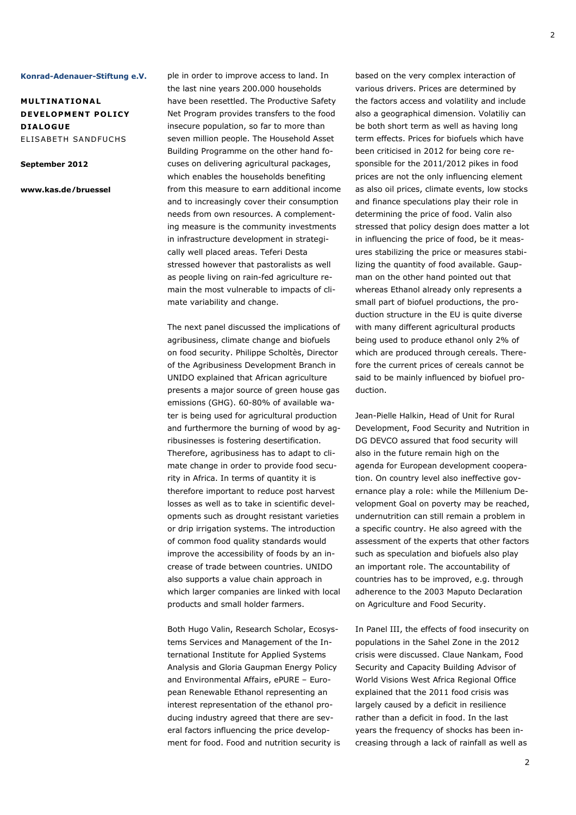#### **Konrad-Adenauer-Stiftung e.V.**

**MULT INAT IONA L DEVELOPMENT POLICY D IALOGUE**  ELISABETH SANDFUCHS

#### **September 2012**

**www.kas.de/bruessel**

ple in order to improve access to land. In the last nine years 200.000 households have been resettled. The Productive Safety Net Program provides transfers to the food insecure population, so far to more than seven million people. The Household Asset Building Programme on the other hand focuses on delivering agricultural packages, which enables the households benefiting from this measure to earn additional income and to increasingly cover their consumption needs from own resources. A complementing measure is the community investments in infrastructure development in strategically well placed areas. Teferi Desta stressed however that pastoralists as well as people living on rain-fed agriculture remain the most vulnerable to impacts of climate variability and change.

The next panel discussed the implications of agribusiness, climate change and biofuels on food security. Philippe Scholtès, Director of the Agribusiness Development Branch in UNIDO explained that African agriculture presents a major source of green house gas emissions (GHG). 60-80% of available water is being used for agricultural production and furthermore the burning of wood by agribusinesses is fostering desertification. Therefore, agribusiness has to adapt to climate change in order to provide food security in Africa. In terms of quantity it is therefore important to reduce post harvest losses as well as to take in scientific developments such as drought resistant varieties or drip irrigation systems. The introduction of common food quality standards would improve the accessibility of foods by an increase of trade between countries. UNIDO also supports a value chain approach in which larger companies are linked with local products and small holder farmers.

Both Hugo Valin, Research Scholar, Ecosystems Services and Management of the International Institute for Applied Systems Analysis and Gloria Gaupman Energy Policy and Environmental Affairs, ePURE – European Renewable Ethanol representing an interest representation of the ethanol producing industry agreed that there are several factors influencing the price development for food. Food and nutrition security is based on the very complex interaction of various drivers. Prices are determined by the factors access and volatility and include also a geographical dimension. Volatiliy can be both short term as well as having long term effects. Prices for biofuels which have been criticised in 2012 for being core responsible for the 2011/2012 pikes in food prices are not the only influencing element as also oil prices, climate events, low stocks and finance speculations play their role in determining the price of food. Valin also stressed that policy design does matter a lot in influencing the price of food, be it measures stabilizing the price or measures stabilizing the quantity of food available. Gaupman on the other hand pointed out that whereas Ethanol already only represents a small part of biofuel productions, the production structure in the EU is quite diverse with many different agricultural products being used to produce ethanol only 2% of which are produced through cereals. Therefore the current prices of cereals cannot be said to be mainly influenced by biofuel production.

Jean-Pielle Halkin, Head of Unit for Rural Development, Food Security and Nutrition in DG DEVCO assured that food security will also in the future remain high on the agenda for European development cooperation. On country level also ineffective governance play a role: while the Millenium Development Goal on poverty may be reached, undernutrition can still remain a problem in a specific country. He also agreed with the assessment of the experts that other factors such as speculation and biofuels also play an important role. The accountability of countries has to be improved, e.g. through adherence to the 2003 Maputo Declaration on Agriculture and Food Security.

In Panel III, the effects of food insecurity on populations in the Sahel Zone in the 2012 crisis were discussed. Claue Nankam, Food Security and Capacity Building Advisor of World Visions West Africa Regional Office explained that the 2011 food crisis was largely caused by a deficit in resilience rather than a deficit in food. In the last years the frequency of shocks has been increasing through a lack of rainfall as well as